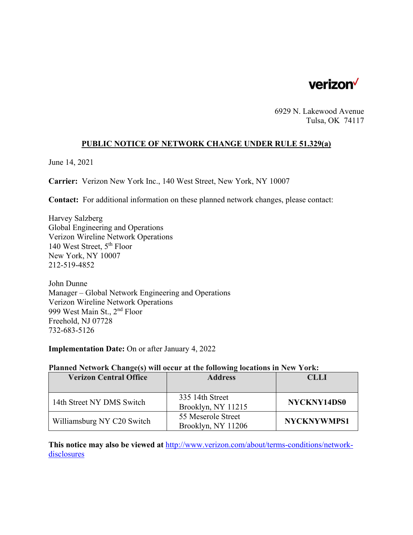

6929 N. Lakewood Avenue Tulsa, OK 74117

### **PUBLIC NOTICE OF NETWORK CHANGE UNDER RULE 51.329(a)**

June 14, 2021

**Carrier:** Verizon New York Inc., 140 West Street, New York, NY 10007

**Contact:** For additional information on these planned network changes, please contact:

Harvey Salzberg Global Engineering and Operations Verizon Wireline Network Operations 140 West Street, 5th Floor New York, NY 10007 212-519-4852

John Dunne Manager – Global Network Engineering and Operations Verizon Wireline Network Operations 999 West Main St., 2nd Floor Freehold, NJ 07728 732-683-5126

**Implementation Date:** On or after January 4, 2022

#### **Planned Network Change(s) will occur at the following locations in New York:**

| <b>Verizon Central Office</b> | <b>Address</b>                           | <b>CLLI</b>        |
|-------------------------------|------------------------------------------|--------------------|
|                               |                                          |                    |
| 14th Street NY DMS Switch     | 335 14th Street<br>Brooklyn, NY 11215    | NYCKNY14DS0        |
| Williamsburg NY C20 Switch    | 55 Meserole Street<br>Brooklyn, NY 11206 | <b>NYCKNYWMPS1</b> |

**This notice may also be viewed at** http://www.verizon.com/about/terms-conditions/networkdisclosures